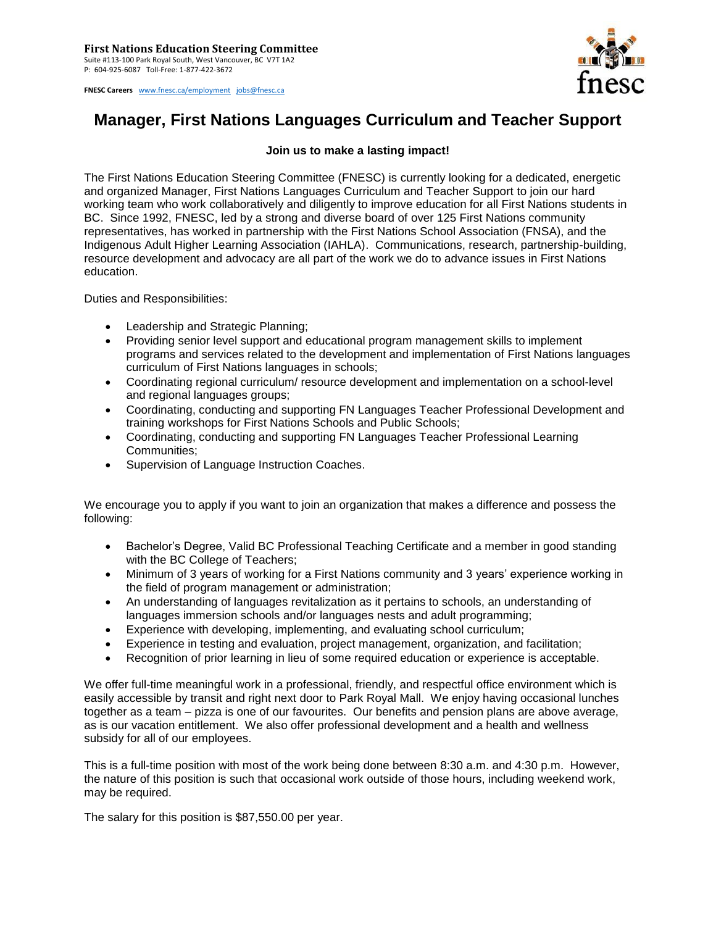

**FNESC Careers** [www.fnesc.ca/employment](http://www.fnesc.ca/employment) [jobs@fnesc.ca](mailto:jobs@fnesc.ca) 

## **Manager, First Nations Languages Curriculum and Teacher Support**

## **Join us to make a lasting impact!**

The First Nations Education Steering Committee (FNESC) is currently looking for a dedicated, energetic and organized Manager, First Nations Languages Curriculum and Teacher Support to join our hard working team who work collaboratively and diligently to improve education for all First Nations students in BC. Since 1992, FNESC, led by a strong and diverse board of over 125 First Nations community representatives, has worked in partnership with the First Nations School Association (FNSA), and the Indigenous Adult Higher Learning Association (IAHLA). Communications, research, partnership-building, resource development and advocacy are all part of the work we do to advance issues in First Nations education.

Duties and Responsibilities:

- Leadership and Strategic Planning;
- Providing senior level support and educational program management skills to implement programs and services related to the development and implementation of First Nations languages curriculum of First Nations languages in schools;
- Coordinating regional curriculum/ resource development and implementation on a school-level and regional languages groups;
- Coordinating, conducting and supporting FN Languages Teacher Professional Development and training workshops for First Nations Schools and Public Schools;
- Coordinating, conducting and supporting FN Languages Teacher Professional Learning Communities;
- Supervision of Language Instruction Coaches.

We encourage you to apply if you want to join an organization that makes a difference and possess the following:

- Bachelor's Degree, Valid BC Professional Teaching Certificate and a member in good standing with the BC College of Teachers;
- Minimum of 3 years of working for a First Nations community and 3 years' experience working in the field of program management or administration;
- An understanding of languages revitalization as it pertains to schools, an understanding of languages immersion schools and/or languages nests and adult programming;
- Experience with developing, implementing, and evaluating school curriculum;
- Experience in testing and evaluation, project management, organization, and facilitation;
- Recognition of prior learning in lieu of some required education or experience is acceptable.

We offer full-time meaningful work in a professional, friendly, and respectful office environment which is easily accessible by transit and right next door to Park Royal Mall. We enjoy having occasional lunches together as a team – pizza is one of our favourites. Our benefits and pension plans are above average, as is our vacation entitlement. We also offer professional development and a health and wellness subsidy for all of our employees.

This is a full-time position with most of the work being done between 8:30 a.m. and 4:30 p.m. However, the nature of this position is such that occasional work outside of those hours, including weekend work, may be required.

The salary for this position is \$87,550.00 per year.